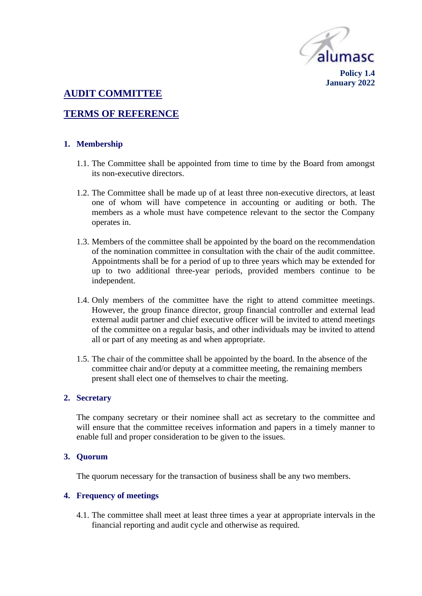

# **AUDIT COMMITTEE**

# **TERMS OF REFERENCE**

### **1. Membership**

- 1.1. The Committee shall be appointed from time to time by the Board from amongst its non-executive directors.
- 1.2. The Committee shall be made up of at least three non-executive directors, at least one of whom will have competence in accounting or auditing or both. The members as a whole must have competence relevant to the sector the Company operates in.
- 1.3. Members of the committee shall be appointed by the board on the recommendation of the nomination committee in consultation with the chair of the audit committee. Appointments shall be for a period of up to three years which may be extended for up to two additional three-year periods, provided members continue to be independent.
- 1.4. Only members of the committee have the right to attend committee meetings. However, the group finance director, group financial controller and external lead external audit partner and chief executive officer will be invited to attend meetings of the committee on a regular basis, and other individuals may be invited to attend all or part of any meeting as and when appropriate.
- 1.5. The chair of the committee shall be appointed by the board. In the absence of the committee chair and/or deputy at a committee meeting, the remaining members present shall elect one of themselves to chair the meeting.

#### **2. Secretary**

The company secretary or their nominee shall act as secretary to the committee and will ensure that the committee receives information and papers in a timely manner to enable full and proper consideration to be given to the issues.

#### **3. Quorum**

The quorum necessary for the transaction of business shall be any two members.

#### **4. Frequency of meetings**

4.1. The committee shall meet at least three times a year at appropriate intervals in the financial reporting and audit cycle and otherwise as required.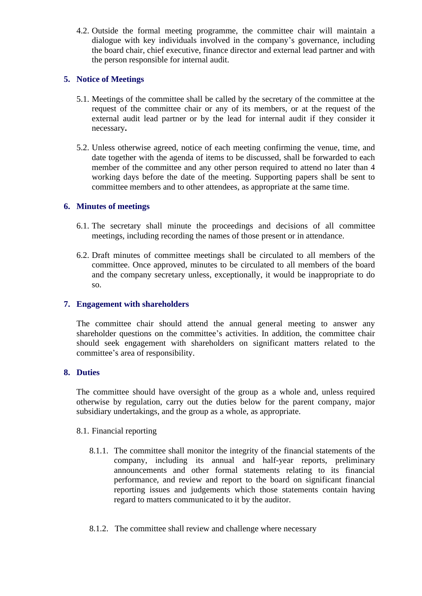4.2. Outside the formal meeting programme, the committee chair will maintain a dialogue with key individuals involved in the company's governance, including the board chair, chief executive, finance director and external lead partner and with the person responsible for internal audit.

# **5. Notice of Meetings**

- 5.1. Meetings of the committee shall be called by the secretary of the committee at the request of the committee chair or any of its members, or at the request of the external audit lead partner or by the lead for internal audit if they consider it necessary**.**
- 5.2. Unless otherwise agreed, notice of each meeting confirming the venue, time, and date together with the agenda of items to be discussed, shall be forwarded to each member of the committee and any other person required to attend no later than 4 working days before the date of the meeting. Supporting papers shall be sent to committee members and to other attendees, as appropriate at the same time.

# **6. Minutes of meetings**

- 6.1. The secretary shall minute the proceedings and decisions of all committee meetings, including recording the names of those present or in attendance.
- 6.2. Draft minutes of committee meetings shall be circulated to all members of the committee. Once approved, minutes to be circulated to all members of the board and the company secretary unless, exceptionally, it would be inappropriate to do so.

# **7. Engagement with shareholders**

The committee chair should attend the annual general meeting to answer any shareholder questions on the committee's activities. In addition, the committee chair should seek engagement with shareholders on significant matters related to the committee's area of responsibility.

# **8. Duties**

The committee should have oversight of the group as a whole and, unless required otherwise by regulation, carry out the duties below for the parent company, major subsidiary undertakings, and the group as a whole, as appropriate.

# 8.1. Financial reporting

- 8.1.1. The committee shall monitor the integrity of the financial statements of the company, including its annual and half-year reports, preliminary announcements and other formal statements relating to its financial performance, and review and report to the board on significant financial reporting issues and judgements which those statements contain having regard to matters communicated to it by the auditor.
- 8.1.2. The committee shall review and challenge where necessary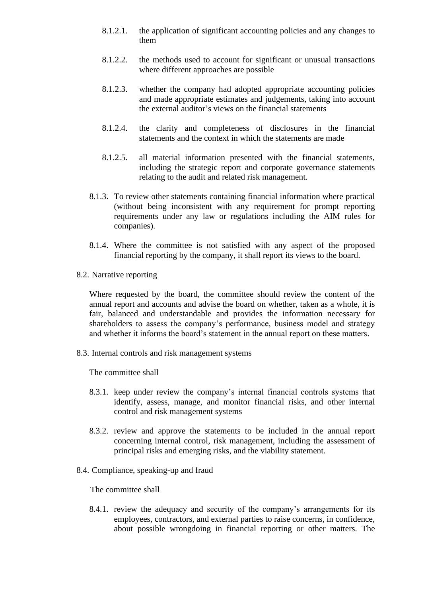- 8.1.2.1. the application of significant accounting policies and any changes to them
- 8.1.2.2. the methods used to account for significant or unusual transactions where different approaches are possible
- 8.1.2.3. whether the company had adopted appropriate accounting policies and made appropriate estimates and judgements, taking into account the external auditor's views on the financial statements
- 8.1.2.4. the clarity and completeness of disclosures in the financial statements and the context in which the statements are made
- 8.1.2.5. all material information presented with the financial statements, including the strategic report and corporate governance statements relating to the audit and related risk management.
- 8.1.3. To review other statements containing financial information where practical (without being inconsistent with any requirement for prompt reporting requirements under any law or regulations including the AIM rules for companies).
- 8.1.4. Where the committee is not satisfied with any aspect of the proposed financial reporting by the company, it shall report its views to the board.
- 8.2. Narrative reporting

Where requested by the board, the committee should review the content of the annual report and accounts and advise the board on whether, taken as a whole, it is fair, balanced and understandable and provides the information necessary for shareholders to assess the company's performance, business model and strategy and whether it informs the board's statement in the annual report on these matters.

8.3. Internal controls and risk management systems

The committee shall

- 8.3.1. keep under review the company's internal financial controls systems that identify, assess, manage, and monitor financial risks, and other internal control and risk management systems
- 8.3.2. review and approve the statements to be included in the annual report concerning internal control, risk management, including the assessment of principal risks and emerging risks, and the viability statement.
- 8.4. Compliance, speaking-up and fraud

The committee shall

8.4.1. review the adequacy and security of the company's arrangements for its employees, contractors, and external parties to raise concerns, in confidence, about possible wrongdoing in financial reporting or other matters. The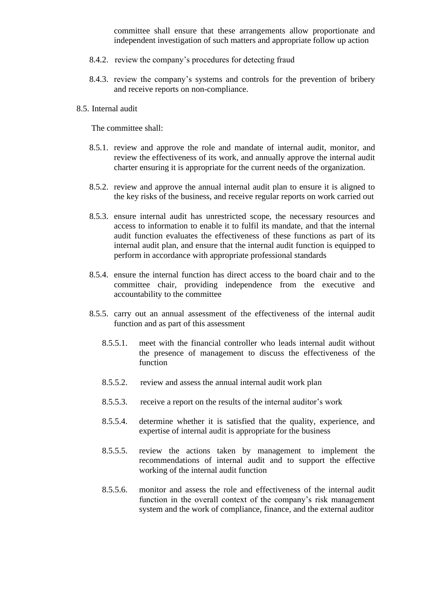committee shall ensure that these arrangements allow proportionate and independent investigation of such matters and appropriate follow up action

- 8.4.2. review the company's procedures for detecting fraud
- 8.4.3. review the company's systems and controls for the prevention of bribery and receive reports on non-compliance.
- 8.5. Internal audit

The committee shall:

- 8.5.1. review and approve the role and mandate of internal audit, monitor, and review the effectiveness of its work, and annually approve the internal audit charter ensuring it is appropriate for the current needs of the organization.
- 8.5.2. review and approve the annual internal audit plan to ensure it is aligned to the key risks of the business, and receive regular reports on work carried out
- 8.5.3. ensure internal audit has unrestricted scope, the necessary resources and access to information to enable it to fulfil its mandate, and that the internal audit function evaluates the effectiveness of these functions as part of its internal audit plan, and ensure that the internal audit function is equipped to perform in accordance with appropriate professional standards
- 8.5.4. ensure the internal function has direct access to the board chair and to the committee chair, providing independence from the executive and accountability to the committee
- 8.5.5. carry out an annual assessment of the effectiveness of the internal audit function and as part of this assessment
	- 8.5.5.1. meet with the financial controller who leads internal audit without the presence of management to discuss the effectiveness of the function
	- 8.5.5.2. review and assess the annual internal audit work plan
	- 8.5.5.3. receive a report on the results of the internal auditor's work
	- 8.5.5.4. determine whether it is satisfied that the quality, experience, and expertise of internal audit is appropriate for the business
	- 8.5.5.5. review the actions taken by management to implement the recommendations of internal audit and to support the effective working of the internal audit function
	- 8.5.5.6. monitor and assess the role and effectiveness of the internal audit function in the overall context of the company's risk management system and the work of compliance, finance, and the external auditor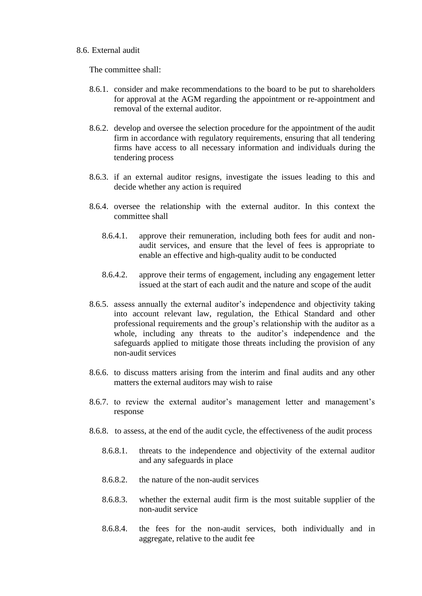#### 8.6. External audit

The committee shall:

- 8.6.1. consider and make recommendations to the board to be put to shareholders for approval at the AGM regarding the appointment or re-appointment and removal of the external auditor.
- 8.6.2. develop and oversee the selection procedure for the appointment of the audit firm in accordance with regulatory requirements, ensuring that all tendering firms have access to all necessary information and individuals during the tendering process
- 8.6.3. if an external auditor resigns, investigate the issues leading to this and decide whether any action is required
- 8.6.4. oversee the relationship with the external auditor. In this context the committee shall
	- 8.6.4.1. approve their remuneration, including both fees for audit and nonaudit services, and ensure that the level of fees is appropriate to enable an effective and high-quality audit to be conducted
	- 8.6.4.2. approve their terms of engagement, including any engagement letter issued at the start of each audit and the nature and scope of the audit
- 8.6.5. assess annually the external auditor's independence and objectivity taking into account relevant law, regulation, the Ethical Standard and other professional requirements and the group's relationship with the auditor as a whole, including any threats to the auditor's independence and the safeguards applied to mitigate those threats including the provision of any non-audit services
- 8.6.6. to discuss matters arising from the interim and final audits and any other matters the external auditors may wish to raise
- 8.6.7. to review the external auditor's management letter and management's response
- 8.6.8. to assess, at the end of the audit cycle, the effectiveness of the audit process
	- 8.6.8.1. threats to the independence and objectivity of the external auditor and any safeguards in place
	- 8.6.8.2. the nature of the non-audit services
	- 8.6.8.3. whether the external audit firm is the most suitable supplier of the non-audit service
	- 8.6.8.4. the fees for the non-audit services, both individually and in aggregate, relative to the audit fee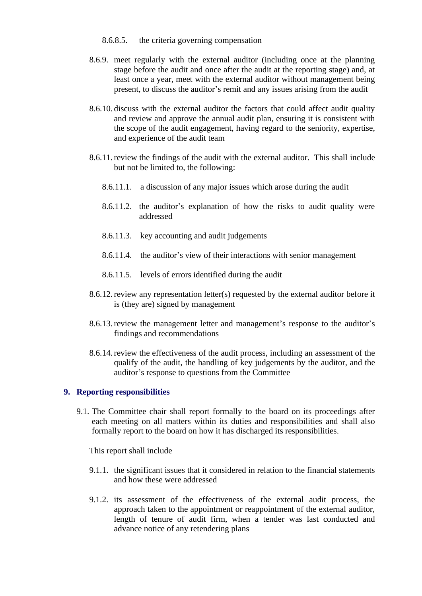- 8.6.8.5. the criteria governing compensation
- 8.6.9. meet regularly with the external auditor (including once at the planning stage before the audit and once after the audit at the reporting stage) and, at least once a year, meet with the external auditor without management being present, to discuss the auditor's remit and any issues arising from the audit
- 8.6.10. discuss with the external auditor the factors that could affect audit quality and review and approve the annual audit plan, ensuring it is consistent with the scope of the audit engagement, having regard to the seniority, expertise, and experience of the audit team
- 8.6.11.review the findings of the audit with the external auditor. This shall include but not be limited to, the following:
	- 8.6.11.1. a discussion of any major issues which arose during the audit
	- 8.6.11.2. the auditor's explanation of how the risks to audit quality were addressed
	- 8.6.11.3. key accounting and audit judgements
	- 8.6.11.4. the auditor's view of their interactions with senior management
	- 8.6.11.5. levels of errors identified during the audit
- 8.6.12.review any representation letter(s) requested by the external auditor before it is (they are) signed by management
- 8.6.13.review the management letter and management's response to the auditor's findings and recommendations
- 8.6.14.review the effectiveness of the audit process, including an assessment of the qualify of the audit, the handling of key judgements by the auditor, and the auditor's response to questions from the Committee

### **9. Reporting responsibilities**

9.1. The Committee chair shall report formally to the board on its proceedings after each meeting on all matters within its duties and responsibilities and shall also formally report to the board on how it has discharged its responsibilities.

This report shall include

- 9.1.1. the significant issues that it considered in relation to the financial statements and how these were addressed
- 9.1.2. its assessment of the effectiveness of the external audit process, the approach taken to the appointment or reappointment of the external auditor, length of tenure of audit firm, when a tender was last conducted and advance notice of any retendering plans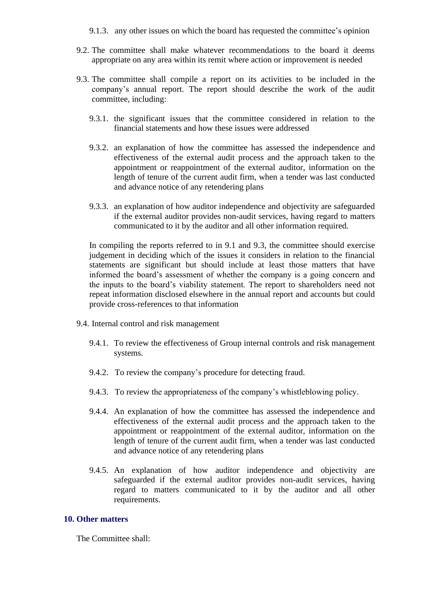9.1.3. any other issues on which the board has requested the committee's opinion

- 9.2. The committee shall make whatever recommendations to the board it deems appropriate on any area within its remit where action or improvement is needed
- 9.3. The committee shall compile a report on its activities to be included in the company's annual report. The report should describe the work of the audit committee, including:
	- 9.3.1. the significant issues that the committee considered in relation to the financial statements and how these issues were addressed
	- 9.3.2. an explanation of how the committee has assessed the independence and effectiveness of the external audit process and the approach taken to the appointment or reappointment of the external auditor, information on the length of tenure of the current audit firm, when a tender was last conducted and advance notice of any retendering plans
	- 9.3.3. an explanation of how auditor independence and objectivity are safeguarded if the external auditor provides non-audit services, having regard to matters communicated to it by the auditor and all other information required.

In compiling the reports referred to in 9.1 and 9.3, the committee should exercise judgement in deciding which of the issues it considers in relation to the financial statements are significant but should include at least those matters that have informed the board's assessment of whether the company is a going concern and the inputs to the board's viability statement. The report to shareholders need not repeat information disclosed elsewhere in the annual report and accounts but could provide cross-references to that information

- 9.4. Internal control and risk management
	- 9.4.1. To review the effectiveness of Group internal controls and risk management systems.
	- 9.4.2. To review the company's procedure for detecting fraud.
	- 9.4.3. To review the appropriateness of the company's whistleblowing policy.
	- 9.4.4. An explanation of how the committee has assessed the independence and effectiveness of the external audit process and the approach taken to the appointment or reappointment of the external auditor, information on the length of tenure of the current audit firm, when a tender was last conducted and advance notice of any retendering plans
	- 9.4.5. An explanation of how auditor independence and objectivity are safeguarded if the external auditor provides non-audit services, having regard to matters communicated to it by the auditor and all other requirements.

#### **10. Other matters**

The Committee shall: